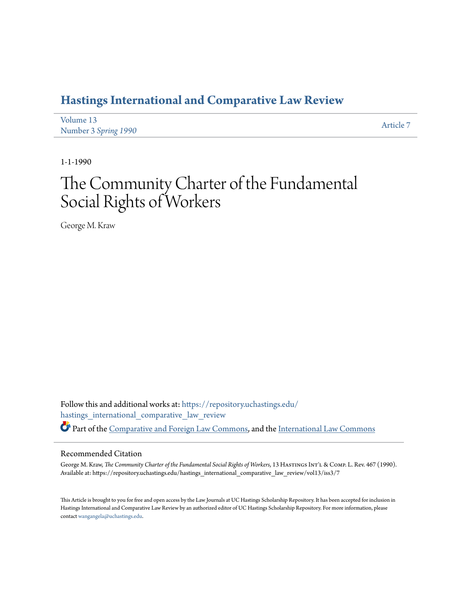# **[Hastings International and Comparative Law Review](https://repository.uchastings.edu/hastings_international_comparative_law_review?utm_source=repository.uchastings.edu%2Fhastings_international_comparative_law_review%2Fvol13%2Fiss3%2F7&utm_medium=PDF&utm_campaign=PDFCoverPages)**

| Volume 13            | Article 7 |
|----------------------|-----------|
| Number 3 Spring 1990 |           |

1-1-1990

# The Community Charter of the Fundamental Social Rights of Workers

George M. Kraw

Follow this and additional works at: [https://repository.uchastings.edu/](https://repository.uchastings.edu/hastings_international_comparative_law_review?utm_source=repository.uchastings.edu%2Fhastings_international_comparative_law_review%2Fvol13%2Fiss3%2F7&utm_medium=PDF&utm_campaign=PDFCoverPages) [hastings\\_international\\_comparative\\_law\\_review](https://repository.uchastings.edu/hastings_international_comparative_law_review?utm_source=repository.uchastings.edu%2Fhastings_international_comparative_law_review%2Fvol13%2Fiss3%2F7&utm_medium=PDF&utm_campaign=PDFCoverPages) Part of the [Comparative and Foreign Law Commons](http://network.bepress.com/hgg/discipline/836?utm_source=repository.uchastings.edu%2Fhastings_international_comparative_law_review%2Fvol13%2Fiss3%2F7&utm_medium=PDF&utm_campaign=PDFCoverPages), and the [International Law Commons](http://network.bepress.com/hgg/discipline/609?utm_source=repository.uchastings.edu%2Fhastings_international_comparative_law_review%2Fvol13%2Fiss3%2F7&utm_medium=PDF&utm_campaign=PDFCoverPages)

#### Recommended Citation

George M. Kraw, *The Community Charter of the Fundamental Social Rights of Workers*, 13 HAsTINGS INT'L & COMP. L. Rev. 467 (1990). Available at: https://repository.uchastings.edu/hastings\_international\_comparative\_law\_review/vol13/iss3/7

This Article is brought to you for free and open access by the Law Journals at UC Hastings Scholarship Repository. It has been accepted for inclusion in Hastings International and Comparative Law Review by an authorized editor of UC Hastings Scholarship Repository. For more information, please contact [wangangela@uchastings.edu](mailto:wangangela@uchastings.edu).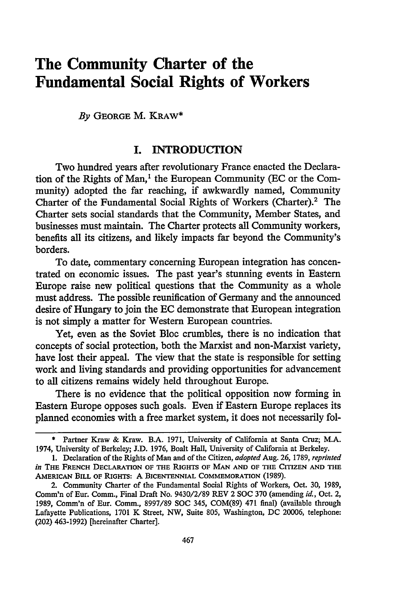# **The Community Charter of the Fundamental Social Rights of Workers**

*By* **GEORGE M. KRAW\***

### **I. INTRODUCTION**

Two hundred years after revolutionary France enacted the Declaration of the Rights of Man,' the European Community **(EC** or the Community) adopted the far reaching, if awkwardly named, Community Charter of the Fundamental Social Rights of Workers (Charter).<sup>2</sup> The Charter sets social standards that the Community, Member States, and businesses must maintain. The Charter protects all Community workers, benefits all its citizens, and likely impacts far beyond the Community's borders.

To date, commentary concerning European integration has concentrated on economic issues. The past year's stunning events in Eastern Europe raise new political questions that the Community as a whole must address. The possible reunification of Germany and the announced desire of Hungary to join the EC demonstrate that European integration is not simply a matter for Western European countries.

Yet, even as the Soviet Bloc crumbles, there is no indication that concepts of social protection, both the Marxist and non-Marxist variety, have lost their appeal. The view that the state is responsible for setting work and living standards and providing opportunities for advancement to all citizens remains widely held throughout Europe.

There is no evidence that the political opposition now forming in Eastern Europe opposes such goals. Even if Eastern Europe replaces its planned economies with a free market system, it does not necessarily fol-

Partner Kraw & Kraw. B.A. 1971, University of California at Santa Cruz; M.A. 1974, University of Berkeley; J.D. 1976, Boalt Hall, University of California at Berkeley.

<sup>1.</sup> Declaration of the Rights of Man and of the Citizen, *adopted* Aug. 26, 1789, *reprinted in* **THE FRENCH DECLARATION OF THE RIGHTS OF MAN AND OF THE CITIZEN AND THE AMERICAN BILL** OF **RIGHTS: A BICENTENNIAL** COMMEMORATION (1989).

<sup>2.</sup> Community Charter of the Fundamental Social Rights of Workers, Oct. **30,** 1989, Comm'n of Eur. Comm., Final Draft No. **9430/2/89** REV 2 SOC **370** (amending *id.,* Oct. 2, 1989, Comm'n of Eur. Comm., **8997/89 SOC** 345, **COM(89)** 471 final) (available through Lafayette Publications, 1701 K Street, NW, Suite 805, Washington, DC 20006, telephone: (202) **463-1992)** [hereinafter Charter].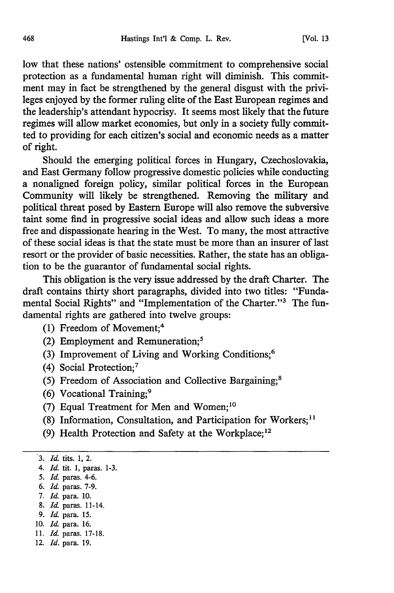low that these nations' ostensible commitment to comprehensive social protection as a fundamental human right will diminish. This commitment may in fact be strengthened by the general disgust with the privileges enjoyed by the former ruling elite of the East European regimes and the leadership's attendant hypocrisy. It seems most likely that the future regimes will allow market economies, but only in a society fully committed to providing for each citizen's social and economic needs as a matter of right.

Should the emerging political forces in Hungary, Czechoslovakia, and East Germany follow progressive domestic policies while conducting a nonaligned foreign policy, similar political forces in the European Community will likely be strengthened. Removing the military and political threat posed by Eastern Europe will also remove the subversive taint some find in progressive social ideas and allow such ideas a more free and dispassionate hearing in the West. To many, the most attractive of these social ideas is that the state must be more than an insurer of last resort or the provider of basic necessities. Rather, the state has an obligation to be the guarantor of fundamental social rights.

This obligation is the very issue addressed by the draft Charter. The draft contains thirty short paragraphs, divided into two titles: "Fundamental Social Rights" and "Implementation of the Charter."3 The fundamental rights are gathered into twelve groups:

- (1) Freedom of Movement;4
- (2) Employment and Remuneration; <sup>5</sup>
- (3) Improvement of Living and Working Conditions;6
- (4) Social Protection;7
- (5) Freedom of Association and Collective Bargaining;8
- (6) Vocational Training;9
- (7) Equal Treatment for Men and Women;<sup>10</sup>
- (8) Information, Consultation, and Participation for Workers;<sup>11</sup>
- (9) Health Protection and Safety at the Workplace;<sup>12</sup>

- 5. *Id.* paras. 4-6.
- *6. Id.* paras. 7-9.
- *7. Id.* para. 10.
- 8. *Id.* paras. 11-14.
- *9. Id.* para. 15.
- 10. *Id.* para. 16.
- **11.** *Id.* paras. 17-18.
- 12. *Id.* para. 19.

<sup>3.</sup> *Id.* tits. **1,** 2.

*<sup>4.</sup> Id.* tit. **1,** paras. 1-3.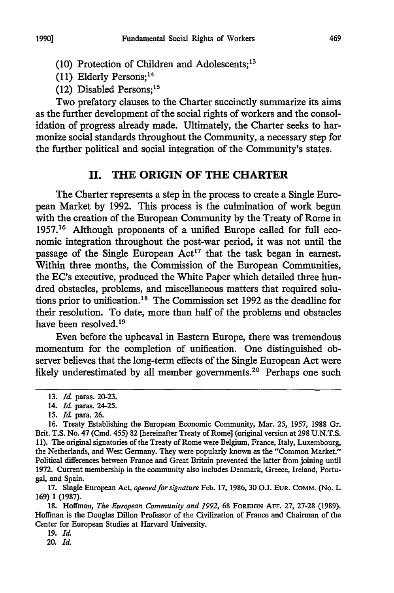- (10) Protection of Children and Adolescents;13
- (11) Elderly Persons;<sup>14</sup>
- (12) Disabled Persons: $15$

Two prefatory clauses to the Charter succinctly summarize its aims as the further development of the social rights of workers and the consolidation of progress already made. Ultimately, the Charter seeks to harmonize social standards throughout the Community, a necessary step for the further political and social integration of the Community's states.

## **II. THE ORIGIN OF THE CHARTER**

The Charter represents a step in the process to create a Single European Market by **1992.** This process is the culmination of work begun with the creation of the European Community by the Treaty of Rome in 1957.16 Although proponents of a unified Europe called for full economic integration throughout the post-war period, it was not until the passage of the Single European Act<sup>17</sup> that the task began in earnest. Within three months, the Commission of the European Communities, the EC's executive, produced the White Paper which detailed three hundred obstacles, problems, and miscellaneous matters that required solutions prior to unification.<sup>18</sup> The Commission set 1992 as the deadline for their resolution. To date, more than half of the problems and obstacles have been resolved.<sup>19</sup>

Even before the upheaval in Eastern Europe, there was tremendous momentum for the completion of unification. One distinguished observer believes that the long-term effects of the Single European Act were likely underestimated by all member governments.<sup>20</sup> Perhaps one such

17. Single European Act, *opened* for *signature* Feb. 17, 1986, 30 **O.J.** EuR. **COMM.** (No. L 169) 1 **(1987).**

18. Hoffman, *The European Community and 1992,* 68 **FOREIGN AFF.** 27, 27-28 (1989). Hoffman is the Douglas Dillon Professor of the Civilization of France and Chairman of the Center for European Studies at Harvard University.

19. *Id.*

20. *Id.*

**<sup>13.</sup>** *Id.* paras. 20-23.

<sup>14.</sup> *Id.* paras. 24-25.

<sup>15.</sup> *Id* para. 26.

<sup>16.</sup> Treaty Establishing the European Economic Community, Mar. 25, 1957, 1988 Gr. Brit. T.S. No. 47 (Cmd. 455) 82 [hereinafter Treaty of Rome] (original version at 298 U.N.T.S. 11). The original signatories of the Treaty of Rome were Belgium, France, Italy, Luxembourg, the Netherlands, and West Germany. They were popularly known as the "Common Market." Political differences between France and Great Britain prevented the latter from joining until 1972. Current membership in the community also includes Denmark, Greece, Ireland, Portugal, and Spain.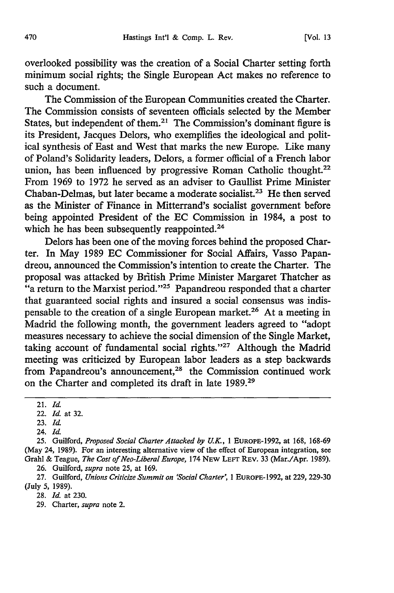overlooked possibility was the creation of a Social Charter setting forth minimum social rights; the Single European Act makes no reference to such a document.

The Commission of the European Communities created the Charter. The Commission consists of seventeen officials selected by the Member States, but independent of them.<sup>21</sup> The Commission's dominant figure is its President, Jacques Delors, who exemplifies the ideological and political synthesis of East and West that marks the new Europe. Like many of Poland's Solidarity leaders, Delors, a former official of a French labor union, has been influenced by progressive Roman Catholic thought.<sup>22</sup> From 1969 to 1972 he served as an adviser to Gaullist Prime Minister Chaban-Delmas, but later became a moderate socialist.<sup>23</sup> He then served as the Minister of Finance in Mitterrand's socialist government before being appointed President of the EC Commission in 1984, a post to which he has been subsequently reappointed.<sup>24</sup>

Delors has been one of the moving forces behind the proposed Charter. In May 1989 EC Commissioner for Social Affairs, Vasso Papandreou, announced the Commission's intention to create the Charter. The proposal was attacked by British Prime Minister Margaret Thatcher as "a return to the Marxist period."<sup>25</sup> Papandreou responded that a charter that guaranteed social rights and insured a social consensus was indispensable to the creation of a single European market.26 At a meeting in Madrid the following month, the government leaders agreed to "adopt measures necessary to achieve the social dimension of the Single Market, taking account of fundamental social rights."<sup>27</sup> Although the Madrid meeting was criticized by European labor leaders as a step backwards from Papandreou's announcement,<sup>28</sup> the Commission continued work on the Charter and completed its draft in late 1989.29

24. *Id.*

25. Guilford, *Proposed Social Charter Attacked by U.K.,* 1 EUROPE-1992, at 168, 168-69 (May 24, 1989). For an interesting alternative view of the effect of European integration, see GrahI & Teague, *The Cost of Neo-Liberal Europe,* 174 NEw LEFr REV. 33 (Mar./Apr. 1989). 26. Guilford, *supra* note 25, at 169.

27. Guilford, *Unions Criticize Summit on 'Social Charter,* 1 EUROPE-1992, at 229, 229-30 (July 5, 1989).

28. *Id.* at 230.

29. Charter, *supra* note 2.

<sup>21.</sup> *Id.*

<sup>22.</sup> *Id.* at 32.

<sup>23.</sup> *Id.*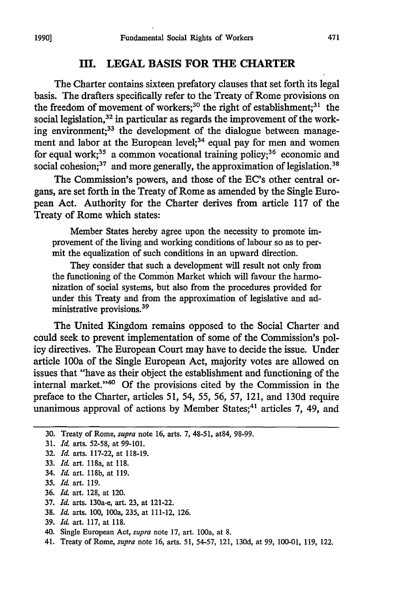#### **HI. LEGAL BASIS FOR THE CHARTER**

The Charter contains sixteen prefatory clauses that set forth its legal basis. The drafters specifically refer to the Treaty of Rome provisions on the freedom of movement of workers;<sup>30</sup> the right of establishment;<sup>31</sup> the social legislation, $32$  in particular as regards the improvement of the working environment;<sup>33</sup> the development of the dialogue between management and labor at the European level;<sup>34</sup> equal pay for men and women for equal work;<sup>35</sup> a common vocational training policy;<sup>36</sup> economic and social cohesion; $37$  and more generally, the approximation of legislation.<sup>38</sup>

The Commission's powers, and those of the EC's other central organs, are set forth in the Treaty of Rome as amended by the Single European Act. Authority for the Charter derives from article 117 of the Treaty of Rome which states:

Member States hereby agree upon the necessity to promote improvement of the living and working conditions of labour so as to permit the equalization of such conditions in an upward direction.

They consider that such a development will result not only from the functioning of the Common Market which will favour the harmonization of social systems, but also from the procedures provided for under this Treaty and from the approximation of legislative and administrative provisions.39

The United Kingdom remains opposed to the Social Charter and could seek to prevent implementation of some of the Commission's policy directives. The European Court may have to decide the issue. Under article 100a of the Single European Act, majority votes are allowed on issues that "have as their object the establishment and functioning of the internal market."<sup>40</sup> Of the provisions cited by the Commission in the preface to the Charter, articles 51, 54, 55, 56, 57, 121, and 130d require unanimous approval of actions by Member States;<sup>41</sup> articles 7, 49, and

- 31. *Id.* arts. 52-58, at 99-101.
- 32. *Id.* arts. 117-22, at 118-19.
- 33. Id. art. 118a, at 118.
- 34. **Id.** art. **118b,** at 119.
- 35. *Id.* art. 119.
- 36. *Id.* art. 128, at 120.
- 37. *Id.* arts. 130a-e, art. 23, at 121-22.
- 38. *Id.* arts. 100, 100a, 235, at 111-12, 126.
- 39. *Id.* art. 117, at 118.
- 40. Single European Act, *supra* note 17, art. 100a, at 8.
- 41. Treaty of Rome, *supra* note 16, arts. 51, 54-57, 121, 130d, at 99, 100-01, 119, 122.

<sup>30.</sup> Treaty of Rome, *supra* note 16, arts. 7, 48-51, at84, 98-99.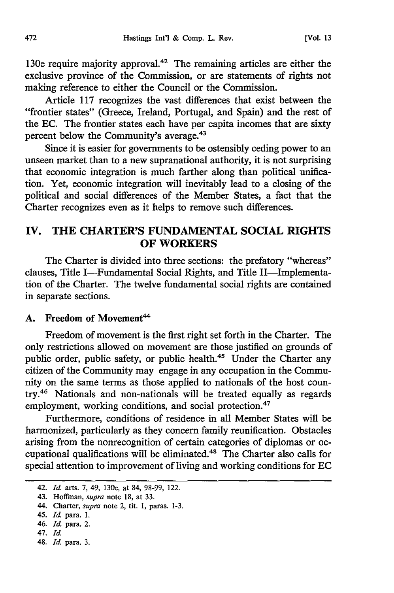130e require majority approval.<sup>42</sup> The remaining articles are either the exclusive province of the Commission, or are statements of rights not making reference to either the Council or the Commission.

Article 117 recognizes the vast differences that exist between the "frontier states" (Greece, Ireland, Portugal, and Spain) and the rest of the EC. The frontier states each have per capita incomes that are sixty percent below the Community's average.43

Since it is easier for governments to be ostensibly ceding power to an unseen market than to a new supranational authority, it is not surprising that economic integration is much farther along than political unification. Yet, economic integration will inevitably lead to a closing of the political and social differences of the Member States, a fact that the Charter recognizes even as it helps to remove such differences.

# **IV. THE CHARTER'S FUNDAMENTAL SOCIAL RIGHTS OF WORKERS**

The Charter is divided into three sections: the prefatory "whereas" clauses, Title I-Fundamental Social Rights, and Title II-Implementation of the Charter. The twelve fundamental social rights are contained in separate sections.

#### A. Freedom of Movement<sup>44</sup>

Freedom of movement is the first right set forth in the Charter. The only restrictions allowed on movement are those justified on grounds of public order, public safety, or public health.<sup>45</sup> Under the Charter any citizen of the Community may engage in any occupation in the Community on the same terms as those applied to nationals of the host country.46 Nationals and non-nationals will be treated equally as regards employment, working conditions, and social protection.<sup>47</sup>

Furthermore, conditions of residence in all Member States will be harmonized, particularly as they concern family reunification. Obstacles arising from the nonrecognition of certain categories of diplomas or occupational qualifications will be eliminated.48 The Charter also calls for special attention to improvement of living and working conditions for EC

- 46. *Id.* para. 2.
- 47. *Id.*
- 48. *Id.* para. 3.

<sup>42.</sup> *Id.* arts. 7, 49, 130e, at 84, 98-99, 122.

<sup>43.</sup> Hoffman, *supra* note 18, at 33.

<sup>44.</sup> Charter, *supra* note 2, tit. 1, paras. 1-3.

<sup>45.</sup> *Id.* para. 1.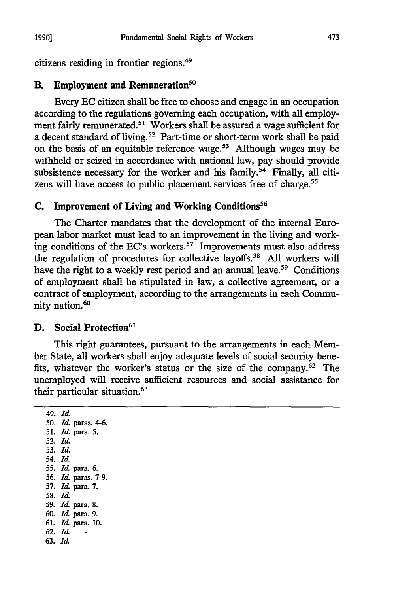citizens residing in frontier regions.49

# **B.** Employment and **Remuneration5°**

Every **EC** citizen shall be free to choose and engage in an occupation according to the regulations governing each occupation, with all employment fairly remunerated.<sup>51</sup> Workers shall be assured a wage sufficient for a decent standard of living.<sup>52</sup> Part-time or short-term work shall be paid on the basis of an equitable reference wage.<sup>53</sup> Although wages may be withheld or seized in accordance with national law, pay should provide subsistence necessary for the worker and his family.<sup>54</sup> Finally, all citizens will have access to public placement services free of charge.<sup>55</sup>

#### **C.** Improvement of **Living and Working Conditions56**

The Charter mandates that the development of the internal European labor market must lead to an improvement in the living and working conditions of the EC's workers.<sup>57</sup> Improvements must also address the regulation of procedures for collective layoffs.58 **All** workers will have the right to a weekly rest period and an annual leave.<sup>59</sup> Conditions of employment shall be stipulated in law, a collective agreement, or a contract of employment, according to the arrangements in each Community nation.<sup>60</sup>

#### **D.** Social Protection<sup>61</sup>

This right guarantees, pursuant to the arrangements in each Member State, all workers shall enjoy adequate levels of social security benefits, whatever the worker's status or the size of the company.62 The unemployed will receive sufficient resources and social assistance for their particular situation.63

*49. Id.* 50. *Id* paras. 4-6. 51. *IA* para. 5. **52. Ia 53.** *Id.* 54. *Id.* 55. *Id.* para. 6. 56. *Id.* paras. 7-9. 57. *Id.* para. 7. **58.** *Id.* 59. *Id.* para. 8. 60. *Id.* para. 9. 61. *Id.* para. **10.** 62. *Id.* 63. *Id.*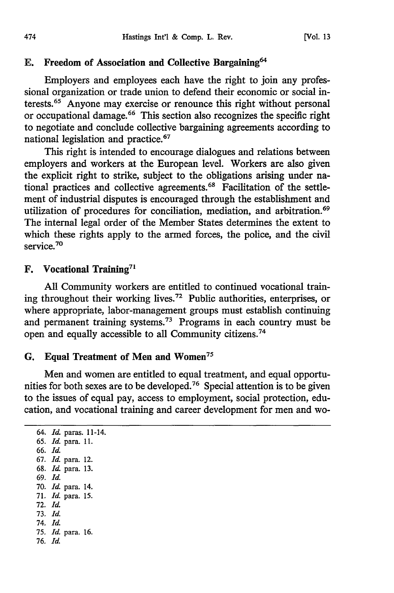#### **E.** Freedom of Association and Collective Bargaining<sup>64</sup>

Employers and employees each have the right to join any professional organization or trade union to defend their economic or social interests.65 Anyone may exercise or renounce this right without personal or occupational damage.<sup>66</sup> This section also recognizes the specific right to negotiate and conclude collective bargaining agreements according to national legislation and practice.<sup>67</sup>

This right is intended to encourage dialogues and relations between employers and workers at the European level. Workers are also given the explicit right to strike, subject to the obligations arising under national practices and collective agreements. 68 Facilitation of the settlement of industrial disputes is encouraged through the establishment and utilization of procedures for conciliation, mediation, and arbitration.<sup>69</sup> The internal legal order of the Member States determines the extent to which these rights apply to the armed forces, the police, and the civil service.<sup>70</sup>

#### F. Vocational **Training71**

**All** Community workers are entitled to continued vocational training throughout their working lives.72 Public authorities, enterprises, or where appropriate, labor-management groups must establish continuing and permanent training systems.73 Programs in each country must be open and equally accessible to all Community citizens.<sup>74</sup>

#### **G. Equal Treatment of Men and Women<sup>75</sup>**

Men and women are entitled to equal treatment, and equal opportunities for both sexes are to be developed.76 Special attention is to be given to the issues of equal pay, access to employment, social protection, education, and vocational training and career development for men and wo-

64. *Id.* paras. 11-14. 65. *Id.* para. 11. 66. *Id.* 67. *Id.* para. 12. 68. *Id.* para. 13. 69. *Id.* 70. *Id.* para. 14. 71. *Id.* para. 15. 72. *Id.* 73. *Id.* 74. *Id.* 75. *Id.* para. 16. 76. *Id.*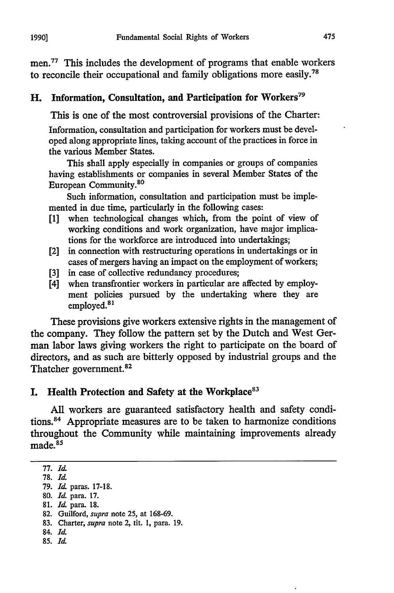men.<sup>77</sup> This includes the development of programs that enable workers to reconcile their occupational and family obligations more easily.<sup>78</sup>

## H. Information, Consultation, and Participation for Workers<sup>79</sup>

This is one of the most controversial provisions of the Charter:

Information, consultation and participation for workers must be developed along appropriate lines, taking account of the practices in force in the various Member States.

This shall apply especially in companies or groups of companies having establishments or companies in several Member States of the European Community.<sup>80</sup>

Such information, consultation and participation must be implemented in due time, particularly in the following cases:

- [1] when technological changes which, from the point of view of working conditions and work organization, have major implications for the workforce are introduced into undertakings;
- [2] in connection with restructuring operations in undertakings or in cases of mergers having an impact on the employment of workers;
- [3] in case of collective redundancy procedures;
- [4] when transfrontier workers in particular are affected by employment policies pursued by the undertaking where they are employed.<sup>81</sup>

These provisions give workers extensive rights in the management of the company. They follow the pattern set by the Dutch and West German labor laws giving workers the right to participate on the board of directors, and as such are bitterly opposed by industrial groups and the Thatcher government.<sup>82</sup>

# I. Health Protection and Safety at the Workplace<sup>83</sup>

**All** workers are guaranteed satisfactory health and safety conditions. 84 Appropriate measures are to be taken to harmonize conditions throughout the Community while maintaining improvements already made.<sup>85</sup>

- 84. *Id.*
- **85.** *Id.*

<sup>77.</sup> *Id*

**<sup>78.</sup> Id**

**<sup>79.</sup>** *Id* paras. **17-18.**

**<sup>80.</sup>** *Id* para. **17.**

**<sup>81.</sup>** *Id* para. **18.**

<sup>82.</sup> Guilford, *supra* note 25, at 168-69.

<sup>83.</sup> Charter, *supra* note 2, tit. 1, para. 19.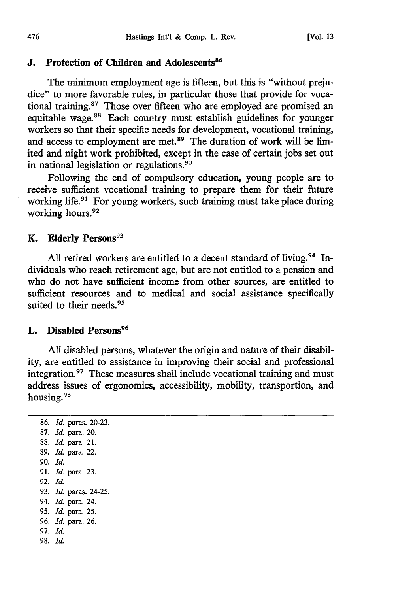#### **J.** Protection of Children and Adolescents<sup>86</sup>

The minimum employment age is fifteen, but this is "without prejudice" to more favorable rules, in particular those that provide for vocational training.87 Those over fifteen who are employed are promised an equitable wage.88 Each country must establish guidelines for younger workers so that their specific needs for development, vocational training, and access to employment are met.<sup>89</sup> The duration of work will be limited and night work prohibited, except in the case of certain jobs set out in national legislation or regulations.<sup>90</sup>

Following the end of compulsory education, young people are to receive sufficient vocational training to prepare them for their future working life.<sup>91</sup> For young workers, such training must take place during working hours.<sup>92</sup>

#### K. Elderly Persons<sup>93</sup>

All retired workers are entitled to a decent standard of living.<sup>94</sup> Individuals who reach retirement age, but are not entitled to a pension and who do not have sufficient income from other sources, are entitled to sufficient resources and to medical and social assistance specifically suited to their needs.<sup>95</sup>

#### L. Disabled Persons<sup>96</sup>

All disabled persons, whatever the origin and nature of their disability, are entitled to assistance in improving their social and professional integration.<sup>97</sup> These measures shall include vocational training and must address issues of ergonomics, accessibility, mobility, transportion, and housing. <sup>98</sup>

86. *Id.* paras. 20-23. 87. *Id.* para. 20. 88. *Id.* para. 21. 89. *Id.* para. 22. 90. *Id.* 91. *Id.* para. 23. 92. *Id.* 93. *Id.* paras. 24-25. 94. *Id.* para. 24. 95. *Id.* para. 25. **96.** *Id.* para. 26. **97.** *Id.* 98. *Id.*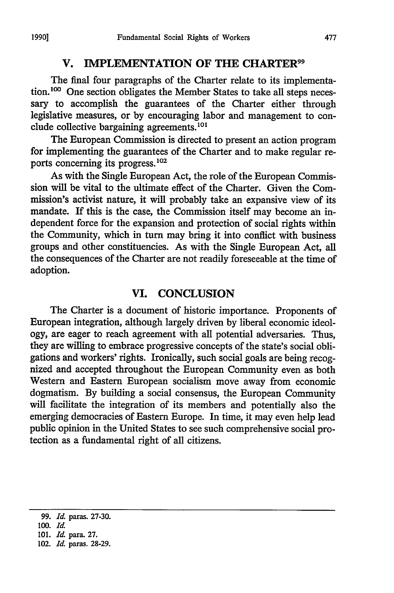## **V. IMPLEMENTATION OF THE CHARTER99**

The final four paragraphs of the Charter relate to its implementation.<sup>100</sup> One section obligates the Member States to take all steps necessary to accomplish the guarantees of the Charter either through legislative measures, or **by** encouraging labor and management to conclude collective bargaining agreements.101

The European Commission is directed to present an action program for implementing the guarantees of the Charter and to make regular reports concerning its progress.102

As with the Single European Act, the role of the European Commission will be vital to the ultimate effect of the Charter. Given the Commission's activist nature, it will probably take an expansive view of its mandate. If this is the case, the Commission itself may become an independent force for the expansion and protection of social rights within the Community, which in turn may bring it into conflict with business groups and other constituencies. As with the Single European Act, **all** the consequences of the Charter are not readily foreseeable at the time of adoption.

#### **VI. CONCLUSION**

The Charter is a document of historic importance. Proponents of European integration, although largely driven **by** liberal economic ideology, are eager to reach agreement with all potential adversaries. Thus, they are willing to embrace progressive concepts of the state's social obligations and workers' rights. Ironically, such social goals are being recognized and accepted throughout the European Community even as both Western and Eastern European socialism move away from economic dogmatism. **By** building a social consensus, the European Community will facilitate the integration of its members and potentially also the emerging democracies of Eastern Europe. In time, it may even help lead public opinion in the United States to see such comprehensive social protection as a fundamental right of all citizens.

**<sup>99.</sup>** *Id* paras. **27-30.**

*<sup>100.</sup> Id.*

**<sup>101.</sup>** *Id.* para. **27.**

<sup>102.</sup> *Id.* paras. **28-29.**